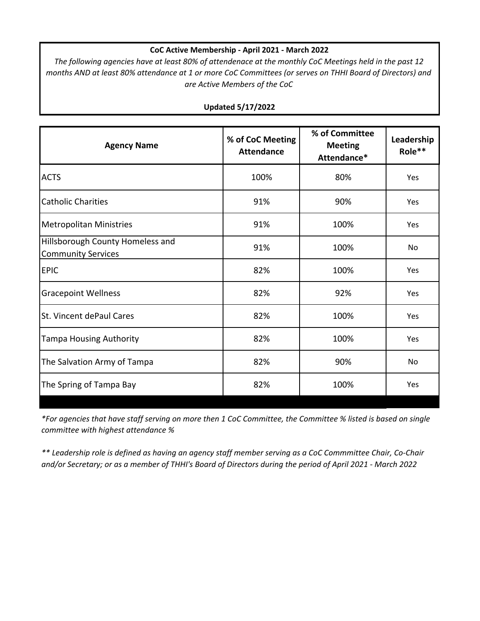# **CoC Active Membership ‐ April 2021 ‐ March 2022**

The following agencies have at least 80% of attendenace at the monthly CoC Meetings held in the past 12 months AND at least 80% attendance at 1 or more CoC Committees (or serves on THHI Board of Directors) and *are Active Members of the CoC*

| <b>Agency Name</b>                                            | % of CoC Meeting<br><b>Attendance</b> | % of Committee<br><b>Meeting</b><br>Attendance* | Leadership<br>Role** |
|---------------------------------------------------------------|---------------------------------------|-------------------------------------------------|----------------------|
| <b>ACTS</b>                                                   | 100%                                  | 80%                                             | Yes                  |
| <b>Catholic Charities</b>                                     | 91%                                   | 90%                                             | Yes                  |
| <b>Metropolitan Ministries</b>                                | 91%                                   | 100%                                            | Yes                  |
| Hillsborough County Homeless and<br><b>Community Services</b> | 91%                                   | 100%                                            | No                   |
| <b>EPIC</b>                                                   | 82%                                   | 100%                                            | Yes                  |
| <b>Gracepoint Wellness</b>                                    | 82%                                   | 92%                                             | Yes                  |
| St. Vincent dePaul Cares                                      | 82%                                   | 100%                                            | Yes                  |
| <b>Tampa Housing Authority</b>                                | 82%                                   | 100%                                            | Yes                  |
| The Salvation Army of Tampa                                   | 82%                                   | 90%                                             | <b>No</b>            |
| The Spring of Tampa Bay                                       | 82%                                   | 100%                                            | Yes                  |

# **Updated 5/17/2022**

\*For agencies that have staff serving on more then 1 CoC Committee, the Committee % listed is based on single *committee with highest attendance %*

\*\* Leadership role is defined as having an agency staff member serving as a CoC Commmittee Chair, Co-Chair and/or Secretary; or as a member of THHI's Board of Directors during the period of April 2021 - March 2022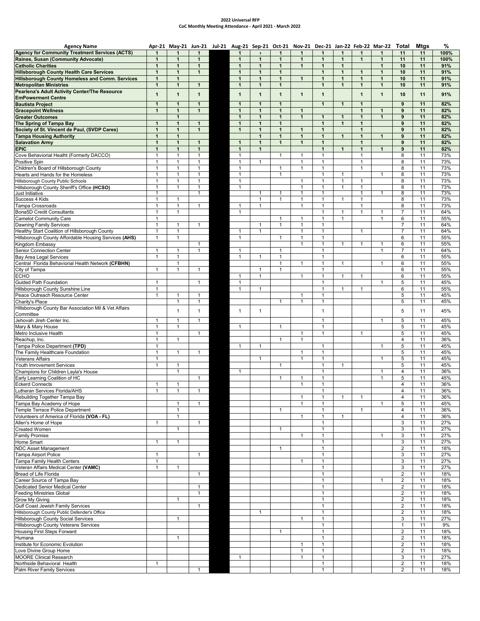#### **2022 Universal RFP CoC Monthly Meeting Attendance ‐ April 2021 ‐ March 2022**

| <b>Agency Name</b>                                         |                   | Apr-21 May-21 Jun-21 Jul-21 Aug-21 Sep-21 Oct-21 Nov-21 Dec-21 Jan-22 Feb-22 Mar-22 Total |              |                |                     |                |                              |                              |              |                |              |                     | Mtgs     | %          |
|------------------------------------------------------------|-------------------|-------------------------------------------------------------------------------------------|--------------|----------------|---------------------|----------------|------------------------------|------------------------------|--------------|----------------|--------------|---------------------|----------|------------|
| <b>Agency for Community Treatment Services (ACTS)</b>      |                   |                                                                                           |              | $\mathbf{1}$   |                     |                |                              |                              | 1            | 1              |              | 11                  | 11       | 100%       |
| Raines, Susan (Community Advocate)                         | $\mathbf{1}$      | $\mathbf{1}$                                                                              | $\mathbf{1}$ | $\mathbf{1}$   | $\mathbf{1}$        | $\mathbf{1}$   | $\mathbf{1}$                 | $\mathbf{1}$                 | $\mathbf{1}$ | $\mathbf{1}$   | $\mathbf{1}$ | 11                  | 11       | 100%       |
| <b>Catholic Charities</b>                                  | $\mathbf{1}$      | $\mathbf{1}$                                                                              | $\mathbf{1}$ | $\mathbf{1}$   | $\mathbf{1}$        | $\mathbf{1}$   | $\mathbf{1}$                 | $\mathbf{1}$                 | $\mathbf{1}$ |                | $\mathbf{1}$ | 10                  | 11       | 91%        |
| <b>Hillsborough County Health Care Services</b>            | $\mathbf{1}$      | $\mathbf{1}$                                                                              | $\mathbf{1}$ | $\mathbf{1}$   | $\mathbf{1}$        | $\mathbf{1}$   |                              | $\mathbf{1}$                 | $\mathbf{1}$ | $\mathbf{1}$   | $\mathbf{1}$ | 10                  | 11       | 91%        |
| <b>Hillsborough County Homeless and Comm. Services</b>     | $\mathbf{1}$      | $\mathbf{1}$                                                                              |              | $\mathbf{1}$   | $\mathbf{1}$        | $\mathbf{1}$   | $\mathbf{1}$                 | $\mathbf{1}$                 | $\mathbf{1}$ | $\mathbf{1}$   | $\mathbf{1}$ | 10                  | 11       | 91%        |
| <b>Metropolitan Ministries</b>                             | $\mathbf{1}$      | $\mathbf{1}$                                                                              | $\mathbf{1}$ | $\mathbf{1}$   | $\mathbf{1}$        | $\mathbf{1}$   |                              | $\mathbf{1}$                 | $\mathbf{1}$ | $\mathbf{1}$   | $\mathbf{1}$ | 10                  | 11       | 91%        |
| Pearlena's Adult Activity Center/The Resource              | $\mathbf{1}$      | $\mathbf{1}$                                                                              | $\mathbf{1}$ | $\mathbf{1}$   | $\mathbf{1}$        | $\mathbf{1}$   | $\mathbf{1}$                 | $\mathbf{1}$                 |              | $\mathbf{1}$   | $\mathbf{1}$ | 10                  | 11       | 91%        |
| <b>EmPowerment Centre</b><br><b>Bautista Project</b>       | 1                 | $\mathbf{1}$                                                                              | $\mathbf{1}$ | $\mathbf{1}$   | $\mathbf{1}$        | $\mathbf{1}$   |                              | $\mathbf{1}$                 | $\mathbf{1}$ | $\mathbf{1}$   |              | 9                   | 11       | 82%        |
| <b>Gracepoint Wellness</b>                                 | $\mathbf{1}$      | $\mathbf{1}$                                                                              | $\mathbf{1}$ | $\mathbf{1}$   | $\mathbf{1}$        | $\mathbf{1}$   | $\mathbf{1}$                 |                              |              | $\mathbf{1}$   | $\mathbf{1}$ | $\boldsymbol{9}$    | 11       | 82%        |
| <b>Greater Outcomes</b>                                    |                   | $\overline{1}$                                                                            |              | $\mathbf{1}$   | $\mathbf{1}$        | $\mathbf{1}$   | $\mathbf{1}$                 | $\mathbf{1}$                 | $\mathbf{1}$ | $\overline{1}$ | $\mathbf{1}$ | 9                   | 11       | 82%        |
| The Spring of Tampa Bay                                    | $\mathbf{1}$      | $\mathbf{1}$                                                                              | $\mathbf{1}$ | $\mathbf{1}$   | $\mathbf{1}$        | $\mathbf{1}$   |                              | $\mathbf{1}$                 | $\mathbf{1}$ | $\mathbf{1}$   |              | 9                   | 11       | 82%        |
| Society of St. Vincent de Paul, (SVDP Cares)               | $\mathbf{1}$      | $\mathbf{1}$                                                                              | $\mathbf{1}$ | $\mathbf{1}$   | $\mathbf{1}$        | $\mathbf{1}$   | $\mathbf{1}$                 | $\mathbf{1}$                 |              | $\mathbf{1}$   |              | 9                   | 11       | 82%        |
| <b>Tampa Housing Authority</b>                             | $\mathbf{1}$      | $\mathbf{1}$                                                                              |              |                | $\mathbf{1}$        | $\mathbf{1}$   | 1                            | $\mathbf{1}$                 | $\mathbf{1}$ | 1              | 1            | 9                   | 11       | 82%        |
| <b>Salavation Army</b>                                     | $\mathbf{1}$      | $\mathbf{1}$                                                                              | $\mathbf{1}$ | $\mathbf{1}$   | $\mathbf{1}$        | $\mathbf{1}$   | $\mathbf{1}$                 | $\mathbf{1}$                 |              | $\mathbf{1}$   |              | 9                   | 11       | 82%        |
| <b>EPIC</b>                                                | $\mathbf{1}$      | $\mathbf{1}$                                                                              | $\mathbf{1}$ | $\mathbf{1}$   | $\mathbf{1}$        |                |                              | $\mathbf{1}$                 | $\mathbf{1}$ | $\mathbf{1}$   | $\mathbf{1}$ | 9                   | 11       | 82%        |
| Cove Behaviorial Healht (Formerly DACCO)                   | 1                 | 1                                                                                         | $\mathbf{1}$ | $\mathbf{1}$   |                     | -1             | $\mathbf{1}$                 | $\mathbf{1}$                 |              | 1              |              | 8                   | 11       | 73%        |
| Positive Spin                                              | $\mathbf{1}$      | $\mathbf{1}$                                                                              | $\mathbf{1}$ | $\mathbf{1}$   | 1                   |                | $\mathbf{1}$                 | $\mathbf{1}$                 |              | 1              |              | 8                   | 11       | 73%        |
| Children's Board of Hillsborough County                    | $\mathbf{1}$      | $\mathbf{1}$                                                                              | $\mathbf{1}$ | $\mathbf{1}$   |                     | $\mathbf{1}$   | $\mathbf{1}$                 | $\mathbf{1}$                 |              | $\mathbf{1}$   |              | 8                   | 11       | 73%        |
| Hearts and Hands for the Homeless                          | $\mathbf{1}$      | $\mathbf{1}$                                                                              | $\mathbf{1}$ | $\mathbf{1}$   |                     | $\mathbf{1}$   |                              | $\mathbf{1}$                 | 1            |                | $\mathbf{1}$ | 8                   | 11       | 73%        |
| Hillsborough County Public Schools                         | $\mathbf{1}$      | 1                                                                                         | $\mathbf{1}$ | $\mathbf{1}$   |                     |                | 1                            | $\mathbf{1}$                 | 1            | 1              |              | 8                   | 11       | 73%        |
| Hillsborough County Sheriff's Office (HCSO)                | $\mathbf{1}$      |                                                                                           | $\mathbf{1}$ | $\mathbf{1}$   |                     |                | $\mathbf{1}$                 | $\overline{1}$               | $\mathbf{1}$ | 1              |              | 8                   | 11       | 73%        |
| Just Initiative<br>Success 4 Kids                          | 1<br>$\mathbf{1}$ | $\mathbf{1}$                                                                              | -1           |                | 1<br>$\overline{1}$ | $\mathbf{1}$   | 1<br>$\overline{1}$          | 1<br>$\mathbf{1}$            | $\mathbf{1}$ | 1<br>1         |              | 8<br>8              | 11<br>11 | 73%<br>73% |
| Tampa Crossroads                                           | $\mathbf{1}$      | $\mathbf{1}$                                                                              | $\mathbf{1}$ | $\overline{1}$ | $\mathbf{1}$        |                | $\mathbf{1}$                 | $\mathbf{1}$                 |              | $\mathbf{1}$   |              | 8                   | 11       | 73%        |
| <b>Bona5D Credit Consultants</b>                           | $\mathbf{1}$      | 1                                                                                         |              | $\mathbf{1}$   |                     |                |                              | $\mathbf{1}$                 | 1            | $\mathbf{1}$   | 1            | 7                   | 11       | 64%        |
| <b>Camelot Community Care</b>                              | $\mathbf{1}$      |                                                                                           |              |                |                     |                |                              | $\mathbf{1}$                 | $\mathbf{1}$ |                | 1            | 6                   | 11       | 55%        |
| <b>Dawning Family Services</b>                             | $\mathbf{1}$      | $\overline{1}$                                                                            | $\mathbf{1}$ |                | $\mathbf{1}$        | $\overline{1}$ | $\overline{1}$               | $\mathbf{1}$                 |              |                |              | $\overline{7}$      | 11       | 64%        |
| Healthy Start Coalition of Hillsborough County             | $\mathbf{1}$      | $\mathbf{1}$                                                                              |              | $\mathbf{1}$   | $\overline{1}$      |                | $\mathbf{1}$                 | $\mathbf{1}$                 |              | 1              |              | $\overline{7}$      | 11       | 64%        |
| Hillsborough County Affordable Housing Services (AHS)      | $\mathbf{1}$      | 1                                                                                         |              | $\mathbf{1}$   |                     | $\mathbf{1}$   | $\mathbf{1}$                 | $\mathbf{1}$                 |              |                |              | 6                   | 11       | 55%        |
| Kingdom Embassy                                            |                   |                                                                                           | $\mathbf{1}$ |                |                     |                | 1                            | $\overline{1}$               | 1            | 1              | 1            | 6                   | 11       | 55%        |
| <b>Senior Connection Center</b>                            | $\mathbf{1}$      | $\mathbf{1}$                                                                              | $\mathbf{1}$ | $\overline{1}$ |                     | $\mathbf{1}$   |                              | $\mathbf{1}$                 |              |                | $\mathbf{1}$ | $\overline{7}$      | 11       | 64%        |
| <b>Bay Area Legal Services</b>                             | $\mathbf{1}$      | $\mathbf{1}$                                                                              |              | $\mathbf{1}$   | $\mathbf{1}$        | $\mathbf{1}$   |                              | $\mathbf{1}$                 |              |                |              | 6                   | 11       | 55%        |
| Central Florida Behaviorial Health Network (CFBHN)         |                   | 1                                                                                         |              |                |                     | $\mathbf{1}$   | 1                            | $\mathbf{1}$                 | 1            |                |              | 6                   | 11       | 55%        |
| City of Tampa                                              | $\mathbf{1}$      | 1                                                                                         | $\mathbf{1}$ |                | $\mathbf{1}$        | $\mathbf{1}$   |                              | $\mathbf{1}$                 |              |                |              | 6                   | 11       | 55%        |
| ECHO                                                       |                   |                                                                                           |              | $\mathbf{1}$   | $\mathbf{1}$        |                | $\mathbf{1}$                 | $\mathbf{1}$                 | $\mathbf{1}$ | $\mathbf{1}$   |              | 6                   | 11       | 55%        |
| <b>Guided Path Foundation</b>                              | $\mathbf{1}$      |                                                                                           | $\mathbf{1}$ | $\mathbf{1}$   |                     |                |                              | $\mathbf{1}$                 |              |                | 1            | 5                   | 11       | 45%        |
| Hillsborough County Sunshine Line                          | $\mathbf{1}$      |                                                                                           |              | $\mathbf{1}$   | 1                   |                |                              | $\overline{1}$               | $\mathbf{1}$ | 1              |              | 6                   | 11       | 55%        |
| Peace Outreach Resource Center                             | $\mathbf{1}$      | 1                                                                                         | $\mathbf{1}$ |                |                     |                | $\mathbf{1}$                 | $\mathbf{1}$                 |              |                |              | 5                   | 11       | 45%        |
| Charity's Place                                            |                   | 1                                                                                         | $\mathbf{1}$ |                |                     | $\mathbf{1}$   | $\mathbf{1}$                 | $\mathbf{1}$                 |              |                |              | 5                   | 11       | 45%        |
| Hillsborough County Bar Association Mil & Vet Affairs      |                   | 1                                                                                         | $\mathbf{1}$ | $\mathbf{1}$   | $\mathbf{1}$        |                |                              | $\mathbf{1}$                 |              |                |              | 5                   | 11       | 45%        |
| Committee                                                  |                   |                                                                                           |              |                |                     |                |                              |                              |              |                |              |                     |          |            |
| Jehovah Jireh Center Inc.                                  | 1                 | $\mathbf{1}$                                                                              | $\mathbf{1}$ |                |                     |                |                              | $\mathbf{1}$                 |              |                | $\mathbf{1}$ | 5                   | 11       | 45%        |
| Mary & Mary House                                          | 1                 | $\mathbf{1}$                                                                              |              | $\mathbf{1}$   |                     | $\mathbf{1}$   |                              | $\mathbf{1}$                 |              |                |              | 5                   | 11       | 45%        |
| Metro Inclusive Health                                     | $\mathbf{1}$      |                                                                                           | $\mathbf{1}$ |                |                     |                | $\mathbf{1}$                 | $\mathbf{1}$                 |              | 1              |              | 5                   | 11       | 45%        |
| Reachup, Inc.                                              | $\mathbf{1}$      | 1                                                                                         |              |                |                     | $\mathbf{1}$   | $\mathbf{1}$                 |                              |              |                |              | $\overline{4}$      | 11       | 36%        |
| Tampa Police Department (TPD)                              | $\mathbf{1}$      |                                                                                           |              | $\mathbf{1}$   | $\mathbf{1}$        |                |                              | $\mathbf{1}$                 |              |                | $\mathbf{1}$ | 5                   | 11       | 45%        |
| The Family Healthcare Foundation                           | $\mathbf{1}$      | 1                                                                                         | $\mathbf{1}$ |                |                     |                | -1                           | $\mathbf{1}$                 |              |                |              | 5                   | 11       | 45%        |
| <b>Veterans Affairs</b>                                    | $\mathbf{1}$      |                                                                                           |              |                | $\mathbf{1}$        |                | $\mathbf{1}$                 | $\mathbf{1}$                 |              |                | 1            | 5                   | 11       | 45%        |
| Youth Imrovement Services                                  | $\mathbf{1}$      | $\mathbf{1}$                                                                              |              |                |                     | $\mathbf{1}$   |                              | $\mathbf{1}$                 | $\mathbf{1}$ |                |              | 5                   | 11       | 45%        |
| Champions for Children Layla's House                       |                   | 1                                                                                         |              | $\mathbf{1}$   |                     |                |                              | $\mathbf{1}$                 |              |                | $\mathbf{1}$ | 4                   | 11       | 36%        |
| Early Learning Coalition of HC<br><b>Eckerd Connects</b>   | $\mathbf{1}$      | $\mathbf{1}$                                                                              | $\mathbf{1}$ |                |                     | $\mathbf{1}$   | 1<br>$\mathbf{1}$            | $\mathbf{1}$<br>$\mathbf{1}$ |              |                | $\mathbf{1}$ | 5<br>$\overline{4}$ | 11<br>11 | 45%<br>36% |
| Lutheran Services Florida/AHS                              | 1                 | 1                                                                                         | -1           |                |                     |                |                              | $\mathbf{1}$                 |              |                |              | 4                   | 11       | 36%        |
|                                                            |                   |                                                                                           |              |                |                     |                |                              | $\mathbf{1}$                 |              | 1              |              | 4                   | 11       |            |
| Rebuilding Together Tampa Bay<br>Tampa Bay Academy of Hope |                   |                                                                                           | $\mathbf{1}$ |                |                     |                | $\mathbf{1}$<br>$\mathbf{1}$ | $\mathbf{1}$                 | 1            |                |              | 5                   | 11       | 36%<br>45% |
| Temple Terrace Police Department                           |                   | $\mathbf{1}$                                                                              |              |                |                     | -1             |                              | $\mathbf{1}$                 |              | 1              |              | $\overline{4}$      | 11       | 36%        |
| Volunteers of America of Florida (VOA - FL)                |                   | 1                                                                                         |              |                |                     |                | $\mathbf{1}$                 | $\mathbf{1}$                 | 1            |                |              | $\overline{4}$      | 11       | 36%        |
| Allen's Home of Hope                                       | $\overline{1}$    |                                                                                           | $\mathbf{1}$ |                |                     |                |                              | $\mathbf{1}$                 |              |                |              | 3                   | 11       | 27%        |
| <b>Created Women</b>                                       |                   | 1                                                                                         |              |                |                     | $\mathbf{1}$   |                              | $\mathbf{1}$                 |              |                |              | 3                   | 11       | 27%        |
| <b>Family Promise</b>                                      |                   |                                                                                           |              |                |                     |                | $\mathbf{1}$                 | $\mathbf{1}$                 |              |                | $\mathbf{1}$ | 3                   | 11       | 27%        |
| Home Smart                                                 | 1                 | 1                                                                                         |              |                |                     |                |                              | $\mathbf{1}$                 |              |                |              | 3                   | 11       | 27%        |
| <b>NDC Asset Management</b>                                |                   |                                                                                           |              |                |                     |                |                              | $\mathbf{1}$                 |              |                |              | $\overline{2}$      | 11       | 18%        |
| <b>Tampa Airport Police</b>                                | $\mathbf{1}$      |                                                                                           | $\mathbf{1}$ |                |                     |                |                              | $\mathbf{1}$                 |              |                |              | 3                   | 11       | 27%        |
| Tampa Family Health Centers                                | 1                 |                                                                                           |              |                |                     |                | 1                            | $\mathbf{1}$                 |              |                |              | 3                   | 11       | 27%        |
| Veteran Affairs Medical Center (VAMC)                      | $\mathbf{1}$      | $\mathbf{1}$                                                                              |              |                |                     |                |                              | $\mathbf{1}$                 |              |                |              | 3                   | 11       | 27%        |
| Bread of Life Florida                                      |                   |                                                                                           | $\mathbf{1}$ |                |                     |                |                              | $\mathbf{1}$                 |              |                |              | $\overline{2}$      | 11       | 18%        |
| Career Source of Tampa Bay                                 |                   |                                                                                           |              |                |                     |                |                              | $\mathbf{1}$                 |              |                | 1            | $\overline{2}$      | 11       | 18%        |
| Dedicated Senior Medical Center                            |                   |                                                                                           | $\mathbf{1}$ |                |                     |                |                              | 1                            |              |                |              | 2                   | 11       | 18%        |
| Feeding Ministries Global                                  |                   |                                                                                           | $\mathbf{1}$ |                |                     |                |                              | $\mathbf{1}$                 |              |                |              | $\overline{2}$      | 11       | 18%        |
| Grow My Giving                                             |                   | 1                                                                                         |              |                |                     |                |                              | $\mathbf{1}$                 |              |                |              | 2                   | 11       | 18%        |
| Gulf Coast Jewish Family Services                          |                   |                                                                                           | $\mathbf{1}$ |                |                     |                |                              | $\mathbf{1}$                 |              |                |              | $\overline{2}$      | 11       | 18%        |
| Hillsborough County Public Defender's Office               |                   |                                                                                           |              |                | -1                  |                |                              | $\overline{1}$               |              |                |              | 2                   | 11       | 18%        |
| <b>Hillsborough County Social Services</b>                 |                   | 1                                                                                         |              |                |                     |                |                              | $\mathbf{1}$                 |              |                |              | 3                   | 11       | 27%        |
| <b>Hillsborough County Veterans Services</b>               |                   |                                                                                           |              |                |                     |                |                              | $\mathbf{1}$                 |              |                |              | $\mathbf{1}$        | 11       | 9%         |
| <b>Housing First Steps Forward</b>                         |                   |                                                                                           |              |                |                     | $\mathbf{1}$   |                              | $\mathbf{1}$                 |              |                |              | $\overline{2}$      | 11       | 18%        |
| Humana                                                     |                   | 1                                                                                         |              |                |                     |                |                              | $\mathbf{1}$                 |              |                |              | 2                   | 11       | 18%        |
| Institute for Economic Evolution                           |                   |                                                                                           |              |                |                     |                | $\mathbf{1}$                 | $\mathbf{1}$                 |              |                |              | 2                   | 11       | 18%        |
| Love Divine Group Home                                     |                   |                                                                                           |              |                |                     |                | $\mathbf{1}$                 | $\mathbf{1}$                 |              |                |              | $\overline{2}$      | 11       | 18%        |
| <b>MOORE Clinical Research</b>                             |                   |                                                                                           |              | $\mathbf{1}$   |                     |                | 1                            | $\mathbf{1}$                 |              |                |              | 3                   | 11       | 27%        |
| Northside Behavioral Health                                | $\mathbf{1}$      |                                                                                           |              |                |                     |                |                              | $\mathbf{1}$                 |              |                |              | $\overline{2}$      | 11       | 18%        |
| Palm River Family Services                                 |                   |                                                                                           |              |                |                     |                |                              | 1                            |              |                |              | 2                   | 11       | 18%        |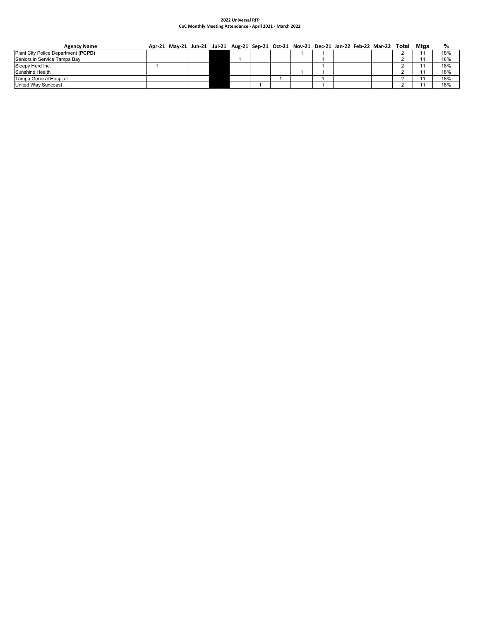### **2022 Universal RFP CoC Monthly Meeting Attendance ‐ April 2021 ‐ March 2022**

| <b>Agency Name</b>                  | Apr-21 May-21 Jun-21 Jul-21 Aug-21 Sep-21 Oct-21 Nov-21 Dec-21 Jan-22 Feb-22 Mar-22 Total Mtgs |  |  |  |  |  |  | %   |
|-------------------------------------|------------------------------------------------------------------------------------------------|--|--|--|--|--|--|-----|
| Plant City Police Department (PCPD) |                                                                                                |  |  |  |  |  |  | 18% |
| Seniors in Service Tampa Bay        |                                                                                                |  |  |  |  |  |  | 18% |
| Sleepy Herd Inc.                    |                                                                                                |  |  |  |  |  |  | 18% |
| Sunshine Health                     |                                                                                                |  |  |  |  |  |  | 18% |
| Tampa General Hospital              |                                                                                                |  |  |  |  |  |  | 18% |
| United Way Suncoast                 |                                                                                                |  |  |  |  |  |  | 18% |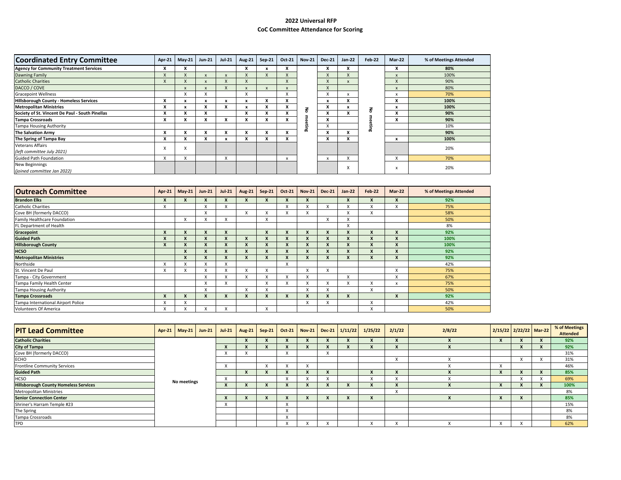## **2022 Universal RFPCoC Committee Attendance for Scoring**

| <b>Coordinated Entry Committee</b>              | Apr-21    | $May-21$                | <b>Jun-21</b>             | <b>Jul-21</b>             | <b>Aug-21</b>             | $Sep-21$ | Oct-21       | <b>Nov-21</b> | <b>Dec-21</b>                         | $Jan-22$                  | Feb-22 | Mar-22                    | % of Meetings Attended |
|-------------------------------------------------|-----------|-------------------------|---------------------------|---------------------------|---------------------------|----------|--------------|---------------|---------------------------------------|---------------------------|--------|---------------------------|------------------------|
| <b>Agency for Community Treatment Services</b>  | X         | х                       |                           |                           |                           |          | л            |               | $\boldsymbol{\lambda}$                | л                         |        | X                         | 80%                    |
| Dawning Family                                  |           |                         | $\boldsymbol{\mathsf{x}}$ | $\boldsymbol{\mathsf{x}}$ | $\times$                  |          | $\lambda$    |               |                                       | X                         |        | X                         | 100%                   |
| <b>Catholic Charities</b>                       |           |                         | $\boldsymbol{\mathsf{x}}$ |                           | $\boldsymbol{\mathsf{x}}$ |          | X            |               | $\lambda$                             |                           |        | X                         | 90%                    |
| DACCO / COVE                                    |           | $\mathsf{x}$            | $\boldsymbol{\mathsf{x}}$ |                           | $\boldsymbol{x}$          |          | $\mathsf{x}$ |               | $\overline{ }$<br>$\mathbf{A}$        |                           |        | $\boldsymbol{\mathsf{x}}$ | 80%                    |
| <b>Gracepoint Wellness</b>                      |           | $\sqrt{ }$<br>$\lambda$ | x                         |                           | x                         |          | X            |               | $\checkmark$                          | $\boldsymbol{\mathsf{x}}$ |        | x                         | 70%                    |
| Hillsborough County - Homeless Services         | X         | x                       | x                         | x                         | x                         | x        | x            |               | x                                     | X                         |        | x                         | 100%                   |
| <b>Metropolitan Ministries</b>                  |           |                         | X                         | $\overline{\phantom{a}}$  |                           |          | x            | 롱             | $\mathbf{v}$                          | x                         | š      | x                         | 100%                   |
| Society of St. Vincent De Paul - South Pinellas | x         | $\ddot{\phantom{0}}$    | x                         |                           | x                         | x        | X            |               | $\overline{\phantom{a}}$<br>$\lambda$ | X                         |        | x                         | 90%                    |
| <b>Tampa Crossroads</b>                         | x         | л                       | x                         | л                         | x                         |          | x            | Φ             | X                                     |                           |        | x                         | 90%                    |
| <b>Tampa Housing Authority</b>                  |           |                         |                           |                           |                           |          |              | eting         | X                                     |                           | 긂      |                           | 10%                    |
| <b>The Salvation Army</b>                       | x         | x                       | x                         |                           |                           |          | x            |               | x                                     | x                         |        |                           | 90%                    |
| The Spring of Tampa Bay                         | x         | х                       | x                         |                           | ж                         |          | x            |               | $\lambda$                             | $\lambda$                 |        | x                         | 100%                   |
| <b>Veterans Affairs</b>                         |           | $\sqrt{ }$              |                           |                           |                           |          |              |               |                                       |                           |        |                           | 20%                    |
| (left committee July 2021)                      | $\lambda$ | $\lambda$               |                           |                           |                           |          |              |               |                                       |                           |        |                           |                        |
| <b>Guided Path Foundation</b>                   | X         | $\lambda$<br>$\lambda$  |                           | $\checkmark$              |                           |          | x            |               |                                       | $\lambda$<br>$\lambda$    |        | X                         | 70%                    |
| New Beginnings                                  |           |                         |                           |                           |                           |          |              |               |                                       |                           |        |                           | 20%                    |
| (joined committee Jan 2022)                     |           |                         |                           |                           |                           |          |              |               |                                       | v                         |        | x                         |                        |

| <b>Outreach Committee</b>          | <b>Apr-21</b>             | $May-21$       | $Jun-21$                 | <b>Jul-21</b>                 | <b>Aug-21</b>             | Sep-21            | Oct-21           | <b>Nov-21</b>            | <b>Dec-21</b>             | $Jan-22$         | <b>Feb-22</b> | Mar-22 | % of Meetings Attended |
|------------------------------------|---------------------------|----------------|--------------------------|-------------------------------|---------------------------|-------------------|------------------|--------------------------|---------------------------|------------------|---------------|--------|------------------------|
| <b>Brandon Elks</b>                | X                         |                |                          | X                             | X                         | X                 | л                |                          |                           | X                | X             |        | 92%                    |
| <b>Catholic Charities</b>          | v                         |                | $\checkmark$<br>л.       | $\overline{\phantom{a}}$<br>A |                           |                   | X                | л.                       | X                         | X                | x             | л.     | 75%                    |
| Cove BH (formerly DACCO)           |                           |                | X                        |                               | X                         | л                 | X                | х                        |                           | X                | X             |        | 58%                    |
| Family Healthcare Foundation       |                           | X              | $\lambda$<br>Λ.          | X                             |                           | X                 |                  |                          | X                         | X                |               |        | 50%                    |
| FL Department of Health            |                           |                |                          |                               |                           |                   |                  |                          |                           | X                |               |        | 8%                     |
| Gracepoint                         | X                         |                |                          | $\mathbf{x}$                  |                           | X                 |                  |                          | X                         | $\boldsymbol{x}$ |               |        | 92%                    |
| <b>Guided Path</b>                 | X                         |                | x                        | X                             | X                         | X                 | X                |                          | X                         | X                | X             |        | 100%                   |
| <b>Hillsborough County</b>         | $\boldsymbol{\mathsf{x}}$ |                | X                        | $\boldsymbol{x}$              |                           | $\boldsymbol{x}$  |                  |                          | X                         | X                | X             |        | 100%                   |
| <b>HCSO</b>                        |                           | $\overline{ }$ | $\overline{\phantom{a}}$ | $\boldsymbol{\mathsf{x}}$     | $\boldsymbol{x}$          | X                 |                  | $\overline{\phantom{a}}$ | X                         | X                | v<br>x        |        | 92%                    |
| <b>Metropolitan Ministries</b>     |                           | X              |                          | $\boldsymbol{x}$              | $\boldsymbol{x}$          | X                 |                  |                          | X                         | X                | X             |        | 92%                    |
| Northside                          | y                         | $\sqrt{}$      | $\checkmark$<br>л        | $\overline{ }$<br>ᄌ           |                           |                   | X                |                          |                           |                  |               |        | 42%                    |
| St. Vincent De Paul                | y                         | $\lambda$      | л                        | ᄌ                             | $\boldsymbol{\mathsf{x}}$ | X                 |                  | X                        | X                         |                  |               | X      | 75%                    |
| Tampa - City Government            |                           |                | X                        | $\overline{ }$<br>$\lambda$   | $\boldsymbol{\mathsf{x}}$ | X                 | X                | X                        |                           | X                |               | X      | 67%                    |
| Tampa Family Health Center         |                           |                | $\check{}$<br>л.         | $\checkmark$<br>$\lambda$     |                           | $\checkmark$<br>⋏ |                  | $\lambda$                | $\checkmark$<br>$\lambda$ | X                | x             | x      | 75%                    |
| <b>Tampa Housing Authority</b>     |                           |                | X                        |                               | X                         | X                 |                  | X                        | X                         |                  | X             |        | 50%                    |
| <b>Tampa Crossroads</b>            | X                         |                | x                        | X                             |                           | X                 | $\boldsymbol{x}$ |                          | X                         | X                |               | X      | 92%                    |
| Tampa International Airport Police |                           |                |                          |                               |                           |                   |                  | л.                       | $\sqrt{ }$                |                  | v             |        | 42%                    |
| Volunteers Of America              | X                         |                | $\checkmark$<br>^        | $\overline{\mathbf{v}}$<br>A  |                           | X                 |                  |                          |                           |                  | X             |        | 50%                    |

| <b>PIT Lead Committee</b>                    | Apr-21 May-21 Jun-21 | $Jul-21$ | Aug-21   Sep-21   Oct-21   Nov-21   Dec-21   1/11/22 |           |  | 1/25/22 | 2/1/22 | 2/8/22 | 2/15/22 2/22/22 Mar-22 |           | % of Meetings<br><b>Attended</b> |
|----------------------------------------------|----------------------|----------|------------------------------------------------------|-----------|--|---------|--------|--------|------------------------|-----------|----------------------------------|
| <b>Catholic Charities</b>                    |                      |          |                                                      |           |  |         |        |        |                        |           | 92%                              |
| <b>City of Tampa</b>                         |                      |          |                                                      |           |  |         |        |        |                        |           | 92%                              |
| Cove BH (formerly DACCO)                     |                      |          |                                                      |           |  |         |        |        |                        |           | 31%                              |
| <b>ECHO</b>                                  |                      |          |                                                      |           |  |         |        |        |                        |           | 31%                              |
| <b>Frontline Community Services</b>          |                      |          |                                                      |           |  |         |        |        |                        |           | 46%                              |
| <b>Guided Path</b>                           |                      |          |                                                      |           |  |         |        |        |                        |           | 85%                              |
| <b>HCSO</b>                                  | No meetings          |          |                                                      |           |  |         |        |        |                        | $\lambda$ | 69%                              |
| <b>Hillsborough County Homeless Services</b> |                      |          |                                                      |           |  |         |        |        |                        |           | 100%                             |
| <b>Metropolitan Ministries</b>               |                      |          |                                                      |           |  |         |        |        |                        |           | 8%                               |
| <b>Senior Connection Center</b>              |                      |          |                                                      |           |  |         |        |        |                        |           | 85%                              |
| Shriner's Harram Temple #23                  |                      |          |                                                      | $\lambda$ |  |         |        |        |                        |           | 15%                              |
| The Spring                                   |                      |          |                                                      |           |  |         |        |        |                        |           | 8%                               |
| Tampa Crossroads                             |                      |          |                                                      |           |  |         |        |        |                        |           | 8%                               |
| <b>TPD</b>                                   |                      |          |                                                      | $\lambda$ |  |         |        |        |                        |           | 62%                              |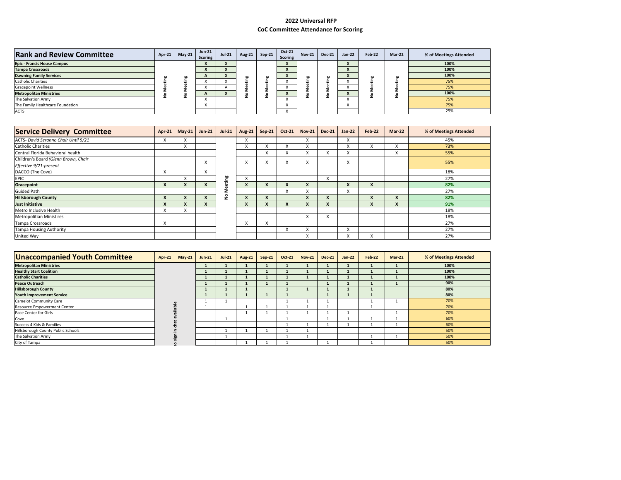## **2022 Universal RFP CoC Committee Attendance for Scoring**

| <b>Rank and Review Committee</b>   | Apr-21 $\vert$ | $May-21$ | $Jun-21$<br><b>Scoring</b> | <b>Jul-21</b> | <b>Aug-21</b> | $Sep-21$ | <b>Oct-21</b><br>Scoring | <b>Nov-21</b> | <b>Dec-21</b> | $Jan-22$ | Feb-22 | <b>Mar-22</b> | % of Meetings Attended |
|------------------------------------|----------------|----------|----------------------------|---------------|---------------|----------|--------------------------|---------------|---------------|----------|--------|---------------|------------------------|
| <b>Epic - Francis House Campus</b> |                |          | $\mathbf{v}$               |               |               |          |                          |               |               |          |        |               | 100%                   |
| <b>Tampa Crossroads</b>            |                |          |                            |               |               |          | $\lambda$                |               |               |          |        |               | 100%                   |
| <b>Dawning Family Services</b>     |                |          |                            |               | 50            |          |                          | br            |               |          | bo     |               | 100%                   |
| <b>Catholic Charities</b>          |                |          |                            |               |               |          |                          |               |               |          |        |               | 75%                    |
| <b>Gracepoint Wellness</b>         |                |          |                            |               |               |          |                          |               |               |          |        |               | 75%                    |
| <b>Metropolitan Ministries</b>     |                |          |                            |               | c             |          |                          |               |               |          |        |               | 100%                   |
| The Salvation Army                 |                |          |                            |               |               |          |                          |               |               |          |        |               | 75%                    |
| The Family Healthcare Foundation   |                |          |                            |               |               |          |                          |               |               |          |        |               | 75%                    |
| <b>ACTS</b>                        |                |          |                            |               |               |          |                          |               |               |          |        |               | 25%                    |

| <b>Service Delivery Committee</b>                              | $Apr-21$     | $May-21$ | <b>Jun-21</b>    | $Jul-21$ | <b>Aug-21</b>               | $Sep-21$ | Oct-21 | <b>Nov-21</b>          | <b>Dec-21</b> | <b>Jan-22</b> | <b>Feb-22</b>    | Mar-22 | % of Meetings Attended |
|----------------------------------------------------------------|--------------|----------|------------------|----------|-----------------------------|----------|--------|------------------------|---------------|---------------|------------------|--------|------------------------|
| ACTS- David Seranno Chair Until 5/21                           | A            |          |                  |          | $\overline{ }$<br>$\lambda$ |          |        | X                      |               | X             |                  |        | 45%                    |
| <b>Catholic Charities</b>                                      |              |          |                  |          | $\checkmark$<br>◠           |          |        | X                      |               | x             | x                |        | 73%                    |
| Central Florida Behavioral health                              |              |          |                  |          |                             | л.       |        | ⋏                      |               | X             |                  | ⋏      | 55%                    |
| Children's Board (Glenn Brown, Chair<br>Effective 9/21-present |              |          | A                |          | X                           | v        | ∧      | X                      |               | X             |                  |        | 55%                    |
| DACCO (The Cove)                                               | X            |          | X                |          |                             |          |        |                        |               |               |                  |        | 18%                    |
| <b>EPIC</b>                                                    |              |          |                  | 쁘        | $\overline{ }$<br>^         |          |        |                        | х             |               |                  |        | 27%                    |
| Gracepoint                                                     |              |          | $\boldsymbol{x}$ |          | X                           |          |        |                        |               | X             | $\boldsymbol{x}$ |        | 82%                    |
| <b>Guided Path</b>                                             |              |          |                  |          |                             |          |        |                        |               | X             |                  |        | 27%                    |
| <b>Hillsborough County</b>                                     |              |          | X                | ,        | X                           |          |        | $\boldsymbol{x}$       |               |               | X                | A      | 82%                    |
| <b>Just Initiative</b>                                         | $\mathbf{v}$ |          | X                |          | X                           |          |        | $\boldsymbol{K}$       |               |               | X                | A      | 91%                    |
| Metro Inclusive Health                                         | X            |          |                  |          |                             |          |        |                        |               |               |                  |        | 18%                    |
| <b>Metropolitian Ministires</b>                                |              |          |                  |          |                             |          |        | X                      |               |               |                  |        | 18%                    |
| Tampa Crossroads                                               | X            |          |                  |          | $\overline{ }$<br>́         | л.       |        |                        |               |               |                  |        | 27%                    |
| <b>Tampa Housing Authority</b>                                 |              |          |                  |          |                             |          | $\sim$ | $\lambda$              |               | X             |                  |        | 27%                    |
| United Way                                                     |              |          |                  |          |                             |          |        | $\lambda$<br>$\lambda$ |               |               | $\lambda$<br>л.  |        | 27%                    |

| <b>Unaccompanied Youth Committee</b> | Apr-21 | $May-21$ | $Jun-21$ | $Jul-21$ | <b>Aug-21</b> | $Sep-21$ | Oct-21 | <b>Nov-21</b> | <b>Dec-21</b> | $Jan-22$ | Feb-22 | $Mar-22$ | % of Meetings Attended |
|--------------------------------------|--------|----------|----------|----------|---------------|----------|--------|---------------|---------------|----------|--------|----------|------------------------|
| <b>Metropolitan Ministries</b>       |        |          |          |          |               |          |        |               |               |          |        |          | 100%                   |
| <b>Healthy Start Coalition</b>       |        |          |          |          |               |          |        |               |               |          |        |          | 100%                   |
| <b>Catholic Charities</b>            |        |          |          |          |               |          |        |               |               |          |        |          | 100%                   |
| <b>Peace Outreach</b>                |        |          |          |          |               |          |        |               |               |          |        |          | 90%                    |
| <b>Hillsborough County</b>           |        |          |          |          |               |          |        |               |               |          |        |          | 80%                    |
| <b>Youth Improvement Service</b>     |        |          |          |          |               |          |        |               |               |          |        |          | 80%                    |
| <b>Camelot Community Care</b>        |        |          |          |          |               |          |        |               |               |          |        |          | 70%                    |
| Resource Empowerment Center          |        |          |          |          |               |          |        |               |               |          |        |          | 70%                    |
| Pace Center for Girls                |        |          |          |          |               |          |        |               |               |          |        |          | 70%                    |
| Cove                                 |        |          |          |          |               |          |        |               |               |          |        |          | 60%                    |
| Success 4 Kids & Families            |        |          |          |          |               |          |        |               |               |          |        |          | 60%                    |
| Hillsborough County Public Schools   |        |          |          |          |               |          |        |               |               |          |        |          | 50%                    |
| The Salvation Army                   |        |          |          |          |               |          |        |               |               |          |        |          | 50%                    |
| City of Tampa                        |        |          |          |          |               |          |        |               |               |          |        |          | 50%                    |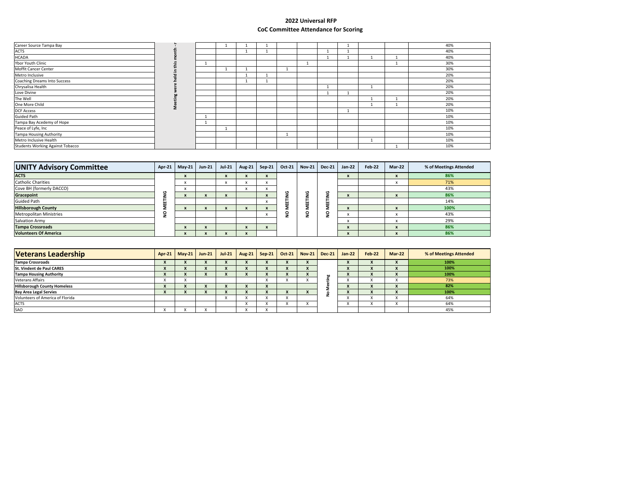## **2022 Universal RFP CoC Committee Attendance for Scoring**

| Career Source Tampa Bay                 |  |  |  |  |  | 40% |
|-----------------------------------------|--|--|--|--|--|-----|
| <b>ACTS</b>                             |  |  |  |  |  | 40% |
| <b>HCADA</b>                            |  |  |  |  |  | 40% |
| Ybor Youth Clinic                       |  |  |  |  |  | 30% |
| Moffit Cancer Center                    |  |  |  |  |  | 30% |
| Metro Inclusive                         |  |  |  |  |  | 20% |
| Coaching Dreams Into Success            |  |  |  |  |  | 20% |
| Chrysalisa Health                       |  |  |  |  |  | 20% |
| Love Divine                             |  |  |  |  |  | 20% |
| The Well                                |  |  |  |  |  | 20% |
| One More Child                          |  |  |  |  |  | 20% |
| <b>DCF Access</b>                       |  |  |  |  |  | 10% |
| <b>Guided Path</b>                      |  |  |  |  |  | 10% |
| Tampa Bay Acedemy of Hope               |  |  |  |  |  | 10% |
| Peace of Lyfe, Inc                      |  |  |  |  |  | 10% |
| <b>Tampa Housing Authority</b>          |  |  |  |  |  | 10% |
| Metro Inclusive Health                  |  |  |  |  |  | 10% |
| <b>Students Working Against Tobacco</b> |  |  |  |  |  | 10% |

| <b>UNITY Advisory Committee</b> | $Apr-21$ | $May-21$ | $Jun-21$ | $Jul-21$                  | Aug-21                    | $Sep-21$ | Oct-21 | $Nov-21$ | <b>Dec-21</b> | $Jan-22$                 | Feb-22 | <b>Mar-22</b>                   | % of Meetings Attended |
|---------------------------------|----------|----------|----------|---------------------------|---------------------------|----------|--------|----------|---------------|--------------------------|--------|---------------------------------|------------------------|
| <b>ACTS</b>                     |          |          |          | $\boldsymbol{\mathbf{x}}$ | ^                         |          |        |          |               | ж                        |        | - -<br>$\overline{\phantom{a}}$ | 86%                    |
| <b>Catholic Charities</b>       |          |          |          | л.                        | л                         |          |        |          |               |                          |        | <br>л.                          | 71%                    |
| Cove BH (formerly DACCO)        |          |          |          |                           | $\lambda$                 |          |        |          |               |                          |        |                                 | 43%                    |
| Gracepoint                      |          |          |          |                           |                           |          |        | o<br>⊆   |               | л                        |        | $\overline{\phantom{a}}$        | 86%                    |
| <b>Guided Path</b>              |          |          |          |                           |                           |          |        | ш        | ш<br>111      |                          |        |                                 | 14%                    |
| <b>Hillsborough County</b>      |          |          | ж        |                           |                           |          |        |          |               | ж                        |        |                                 | 100%                   |
| <b>Metropolitan Ministries</b>  |          |          |          |                           |                           |          |        | o<br>-   |               | $\overline{\phantom{a}}$ |        | $\ddot{\phantom{0}}$<br>л.      | 43%                    |
| Salvation Army                  |          |          |          |                           |                           |          |        |          |               |                          |        |                                 | 29%                    |
| <b>Tampa Crossroads</b>         |          |          | ж        |                           | $\boldsymbol{\mathsf{x}}$ |          |        |          |               | ж                        |        | $\boldsymbol{\lambda}$          | 86%                    |
| <b>Volunteers Of America</b>    |          |          |          |                           |                           |          |        |          |               | ж                        |        | $\overline{\phantom{a}}$        | 86%                    |

| <b>Veterans Leadership</b>          | Apr-21   May-21 | $Jun-21$ |              |              |   | Jul-21   Aug-21   Sep-21   Oct-21   Nov-21   Dec-21   Jan-22 |    |              | Feb-22 | $Mar-22$ | % of Meetings Attended |
|-------------------------------------|-----------------|----------|--------------|--------------|---|--------------------------------------------------------------|----|--------------|--------|----------|------------------------|
| <b>Tampa Crossroads</b>             |                 |          |              |              |   | $\lambda$                                                    |    | $\mathbf{r}$ |        |          | 100%                   |
| <b>St. Vindent de Paul CARES</b>    |                 |          | $\mathbf{v}$ | $\mathbf{r}$ | Λ | $\lambda$                                                    |    | $\mathbf{v}$ |        |          | 100%                   |
| <b>Tampa Housing Authority</b>      |                 |          |              |              |   |                                                              | br |              |        |          | 100%                   |
| <b>Veterans Affairs</b>             |                 |          |              |              |   |                                                              |    |              |        |          | 73%                    |
| <b>Hillsborough County Homeless</b> |                 |          |              |              |   |                                                              |    |              |        |          | 82%                    |
| <b>Bay Area Legal Servies</b>       |                 |          |              |              |   | $\lambda$                                                    |    | $\mathbf{r}$ |        |          | 100%                   |
| Volunteers of America of Florida    |                 |          |              |              |   |                                                              |    |              |        |          | 64%                    |
| <b>ACTS</b>                         |                 |          |              |              |   |                                                              |    |              |        |          | 64%                    |
| SAO                                 |                 |          |              |              |   |                                                              |    |              |        |          | 45%                    |